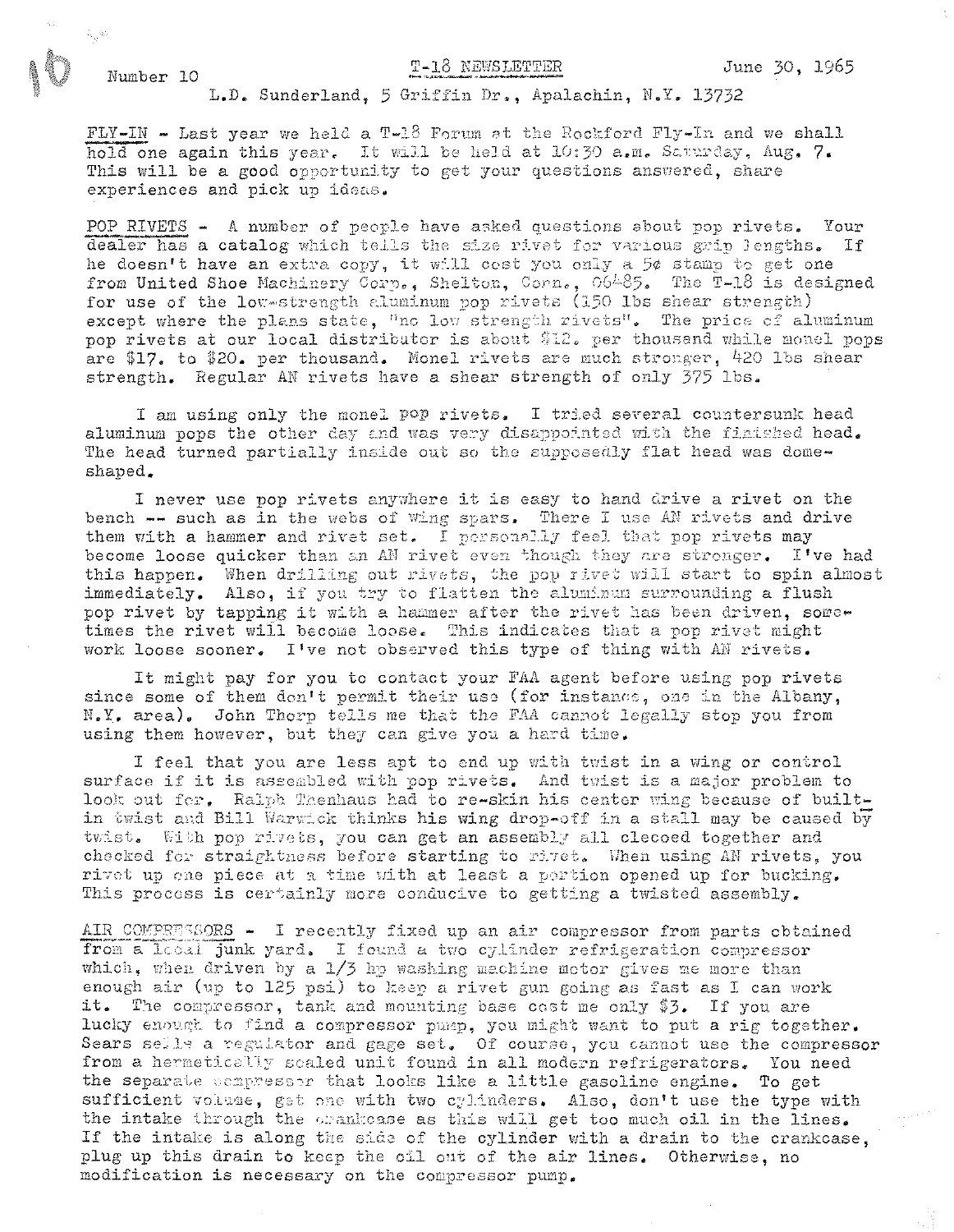## T-18 NEWSLETTER

Number 10

## L.D. Sunderland, 5 Griffin Dr., Apalachin, N.Y. 13732

FLY-IN - Last year we held a T-18 Forum at the Rockford Fly-In and we shall hold one again this year. It will be held at 10:30 a.m. Saturday, Aug. 7. This will be a good opportunity to get your questions answered, share experiences and pick up ideas.

POP RIVETS - A number of people have asked questions about pop rivets. Your dealer has a catalog which tells the size rivet for various grip lengths. If he doesn't have an extra copy, it will cost you only a 5¢ stamp to get one from United Shoe Machinery Corn., Shelton, Corn., 06485. The T-18 is designed for use of the low-strength aluminum pop rivets (150 lbs shear strength) except where the plans state, "no low strength rivets". The price of aluminum pop rivets at our local distributor is about \$12. per thousand while monel pops are \$17. to \$20. per thousand. Monel rivets are much stronger, 420 lbs shear strength. Regular AN rivets have a shear strength of only 375 lbs.

I am using only the monel pop rivets. I tried several countersunk head aluminum pops the other day and was very disappointed with the finished head. The head turned partially inside out so the supposedly flat head was domeshaped.

I never use pop rivets anywhere it is easy to hand drive a rivet on the bench -- such as in the webs of wing spars. There I use AN rivets and drive them with a hammer and rivet set. I personally feel that pop rivets may become loose quicker than an AN rivet even though they are stronger. I've had this happen. When drilling out rivets, the pop rivet will start to spin almost immediately. Also, if you try to flatten the aluminum surrounding a flush pop rivet by tapping it with a hammer after the rivet has been driven, sometimes the rivet will become loose. This indicates that a pop rivet might work loose sooner. I've not observed this type of thing with AN rivets.

It might pay for you to contact your FAA agent before using pop rivets since some of them don't permit their use (for instance, one in the Albany, N.Y. area). John Thorp tells me that the FAA cannot legally stop you from using them however, but they can give you a hard time.

I feel that you are less apt to end up with twist in a wing or control surface if it is assembled with pop rivets. And twist is a major problem to look out fer. Ralph Thenhaus had to re-skin his center wing because of builtin twist and Bill Warwick thinks his wing drop-off in a stall may be caused by twist. With pop rivets, you can get an assembly all clecoed together and checked for straightness before starting to rivet. When using AN rivets, you rivet up one piece at a time with at least a portion opened up for bucking. This process is certainly more conducive to getting a twisted assembly.

AIR COMPEESSORS - I recently fixed up an air compressor from parts obtained from a local junk yard. I found a two cylinder refrigeration compressor which, when driven by a 1/3 hp washing machine motor gives me more than enough air (up to 125 psi) to keep a rivet gun going as fast as I can work it. The compressor, tank and mounting base cost me only \$3. If you are lucky enough to find a compressor pump, you might want to put a rig together. Sears sells a regulator and gage set. Of course, you cannot use the compressor from a hermetically scaled unit found in all modern refrigerators. You need the separate compressor that looks like a little gasoline engine. To get sufficient volume, get one with two cylinders. Also, don't use the type with the intake through the orankcase as this will get too much oil in the lines. If the intake is along the side of the cylinder with a drain to the crankcase, plug up this drain to keep the oil out of the air lines. Otherwise, no modification is necessary on the compressor pump.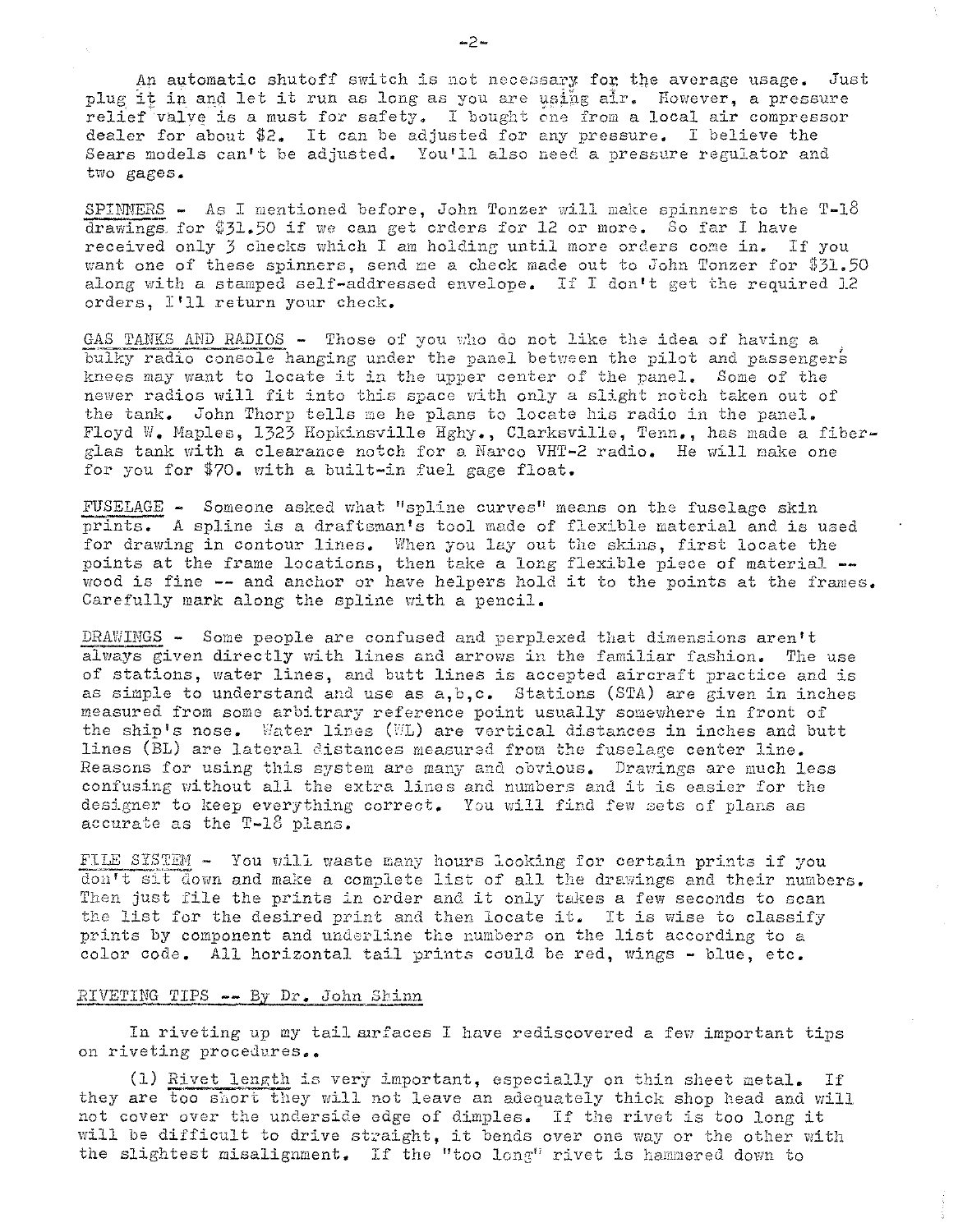An automatic shutoff switch is not necessary for the average usage. Just plug it in and let it run as long as you are using air. However, a pressure relief valve is a must for safety. I bought one from a local air compressor dealer for about \$2. It can be adjusted for any pressure. I believe the Sears models can't be adjusted. You'll also need a pressure regulator and two gages.

SPINNERS - As I mentioned before, John Tonzer will make spinners to the  $T-18$ drawings for  $$31.50$  if we can get orders for 12 or more. So far I have received only 3 checks which I am holding until more orders come in. If you want one of these spinners, send me a check made out to John Tonzer for  $$31.50$ along with a stamped self-addressed envelope. If I don't get the required  $1.2$ orders, I'll return your check.

GAS TANKS AND RADIOS - Those of you who do not like the idea of having a bulky radio console hanging under the panel between the pilot and passengers knees may want to locate it in the upper center of the panel. Some of the newer radios will fit into this space with only a slight notch taken out of the tank. John Thorp tells me he plans to locate his radio in the panel. Floyd W. Maples, 1323 Hopkinsville Hghy., Clarksville, Tenn., has made a fiberglas tank with a clearance notch fcr a Harco VHT-2 radio. He will nake one for you for \$70. with a built-in fuel gage float.

FUSELAGE - Someone asked what "spline curves" means on the fuselage skin prints. A spline is a draftsman's tool made of flexible material and is used for drawing in contour lines. When you lay out the skins, first locate the points at the frame locations, then take a long flexible piece of material -wood is fine **--** and anchor or have helpers hold it to the points at the frames. Carefully mark along the spline with a pencil.

DRAWINGS - Some people are confused and perplexed that dimensions aren't always given directly with lines and arrows in the familiar fashion. The use of stations, water lines, and butt lines is accepted aircraft practice and is as simple to understand and use as  $a, b, c$ . Stations (STA) are given in inches measured from some arbitrary reference point usually somewhere in front of the ship's nose. Water lines (WL) are vertical distances in inches and butt lines (BL) are lateral distances measured from the fuselage center line. Reasons for using this system are many and obvious. Drawings are much less confusing without all the extra lines and numbers and it is easier for the designer to keep everything correct. You will find few sets of plans as accurate as the T-18 plans.

FILE SYSTEM - You will waste many hours looking for certain prints if you don't sit down and make a complete list of all the drawings and their numbers. Then just file the prints in order and it only takes a few seconds to scan the list for the desired print and then locate it. It is wise to classify prints by component and underline the numbers on the list according to a color code. All horizontal tail prints could be red, wings - blue, etc.

## $RIVETING$  TIPS  $--$  By Dr. John Shinn

In riveting up my tail arfaces I have rediscovered a few important tips on riveting procedures..

(1) Rivet length is very important, especially on thin sheet metal. If they are too short they will not leave an adequately thick shop head and will not cover over the underside edge of dimples. If the rivet is too long *it*  will be difficult to drive straight, it bends over one way or the other with the slightest misalignment. If the "too long" rivet is hammered down to

-2-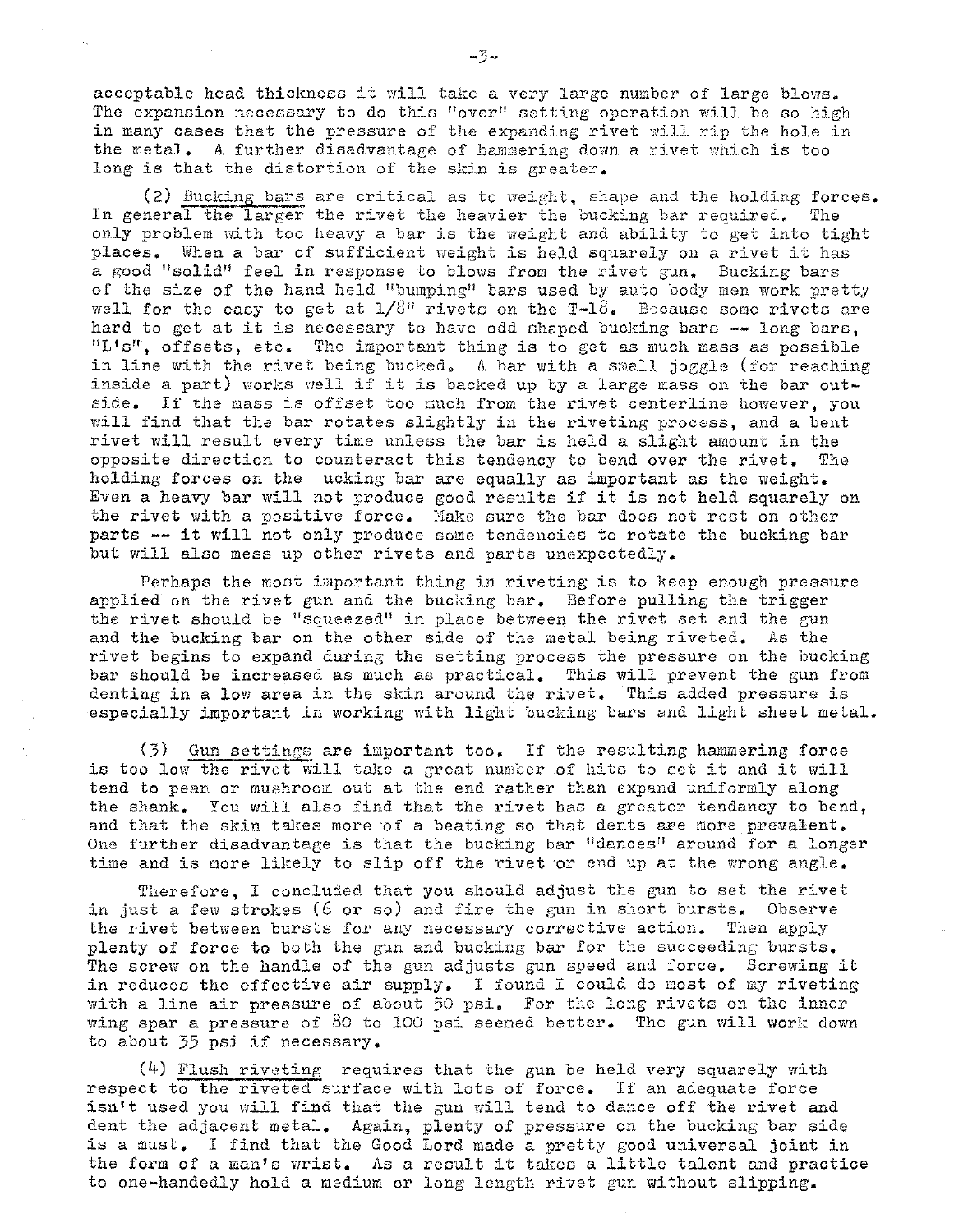acceptable head thickness it will take a very large number of large blows. The expansion necessary to do this "over" setting operation will be so high in many cases that the pressure of the expanding rivet will rip the hole in the metal. A further disadvantage of hammering down a rivet which is too long is that the distortion of the skin is greater.

(2) Bucking bars are critical as to weight, shape and the holding forces. In general the larger the rivet the heavier the bucking bar required. The only problem with too heavy a bar is the weight and ability to get into tight places. When a bar of sufficient weight is held squarely on a rivet it has a good "solid" feel in response to blows from the rivet gun. Bucking bars of the size of the hand held "bumping" bars used by auto body men work pretty well for the easy to get at  $1/8$ " rivets on the T-18. Because some rivets are hard to get at it is necessary to have odd shaped bucking bars **--** long bars, "L's", offsets, etc. The important thing is to get as much mass as possible in line with the rivet being bucked. A bar with a small joggle (for reaching inside a part) works well if it is backed up by a large mass on the bar outside. If the mass is offset too much from the rivet centerline however, you will find that the bar rotates slightly in the riveting process, and a bent rivet will result every time unless the bar is held a slight amount in the opposite direction to counteract this tendency to bend over the rivet. The opposite direction to counteract this tendency to bend over the rivet. holding forces on the ucking bar are equally as important as the weight. Even a heavy bar will not produce good results if it is not held squarely on the rivet with a positive force. Make sure the bar does not rest on other parts -- it will not only produce some tendencies to rotate the bucking bar but will also mess up other rivets and parts unexpectedly.

Perhaps the most important thing in riveting is to keep enough pressure applied on the rivet gun and the bucking bar. Before pulling the trigger the rivet should be "squeezed" in place between the rivet set and the gun and the bucking bar on the other side of the metal being riveted. As the rivet begins to expand during the setting process the pressure on the bucking bar should be increased as much as practical. This will prevent the gun from denting in a low area in the skin around the rivet. This added pressure is especially important in working with light bucking bars and light sheet metal.

 $(3)$  Gun settings are important too. If the resulting hammering force is too low the rivet will take a great number of hits to set it and it will tend to pean or mushroom out at the end rather than expand uniformly along the shank. You will also find that the rivet has a greater tendancy to bend, and that the skin takes more of a beating so that dents are more prevalent. One further disadvantage is that the bucking bar "dances" around for a longer time and is more likely to slip off the rivet or end up at the wrong angle.

Therefore, I concluded that you should adjust the gun to set the rivet in just a few strokes (6 or so) and fire the gun in short bursts. Observe the rivet between bursts for any necessary corrective action. Then apply plenty of force to both the gun and bucking bar for the succeeding bursts. The screw on the handle of the gun adjusts gun speed and force. Screwing it in reduces the effective air supply. I found I could do most of my riveting with a line air pressure of about 50 psi. For the long rivets on the inner wing spar a pressure of  $80$  to 100 psi seemed better. The gun will work down to about 35 psi if necessary.

 $(4)$  Flush riveting requires that the gun be held very squarely with respect to the riveted surface with lots of force. If an adequate force isn't used you will find that the gun will tend to dance off the rivet and dent the adjacent metal. Again, plenty of pressure on the bucking bar side is a must. I find that the Good Lord made a pretty good universal joint in the form of a man's wrist. As a result it takes a little talent and practice to one-handedly hold a medium or long length rivet gun without slipping.